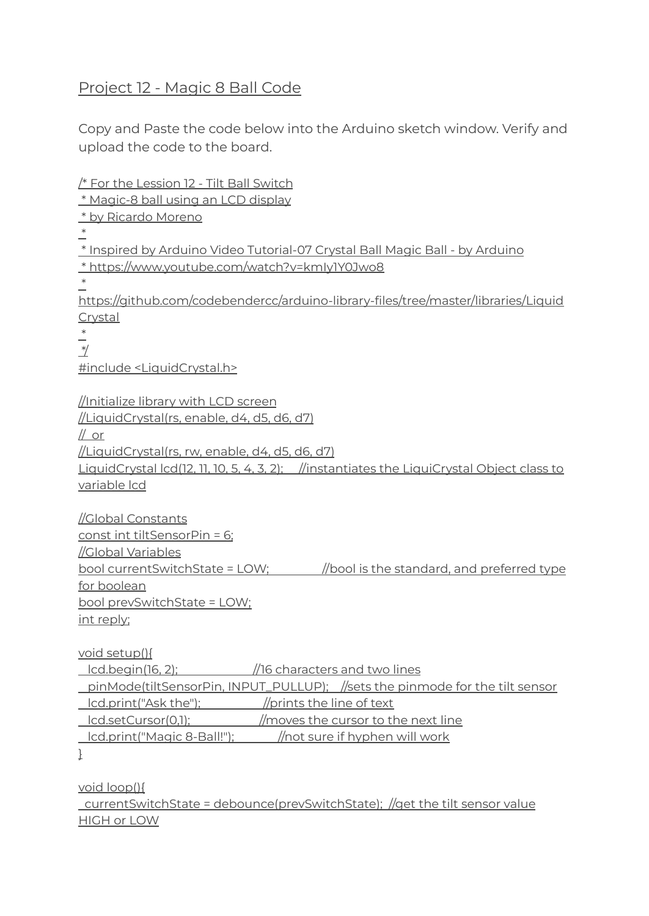## Project 12 - Magic 8 Ball Code

Copy and Paste the code below into the Arduino sketch window. Verify and upload the code to the board.

/\* For the Lession 12 - Tilt Ball Switch \* Magic-8 ball using an LCD display \* by Ricardo Moreno \* \* Inspired by Arduino Video Tutorial-07 Crystal Ball Magic Ball - by Arduino \* https://www.youtube.com/watch?v=kmIy1Y0Jwo8 \* https://github.com/codebendercc/arduino-library-files/tree/master/libraries/Liquid Crystal \* \*/ #include <LiquidCrystal.h> //Initialize library with LCD screen //LiquidCrystal(rs, enable, d4, d5, d6, d7) // or //LiquidCrystal(rs, rw, enable, d4, d5, d6, d7) LiquidCrystal lcd(12, 11, 10, 5, 4, 3, 2); //instantiates the LiquiCrystal Object class to variable lcd //Global Constants const int tiltSensorPin = 6; //Global Variables bool currentSwitchState = LOW; //bool is the standard, and preferred type for boolean bool prevSwitchState = LOW; int reply; void setup(){ lcd.begin(16, 2); //16 characters and two lines pinMode(tiltSensorPin, INPUT\_PULLUP); //sets the pinmode for the tilt sensor lcd.print("Ask the"); //prints the line of text lcd.setCursor(0,1); //moves the cursor to the next line

lcd.print("Magic 8-Ball!"); //not sure if hyphen will work

}

void loop(){ currentSwitchState = debounce(prevSwitchState); //get the tilt sensor value HIGH or LOW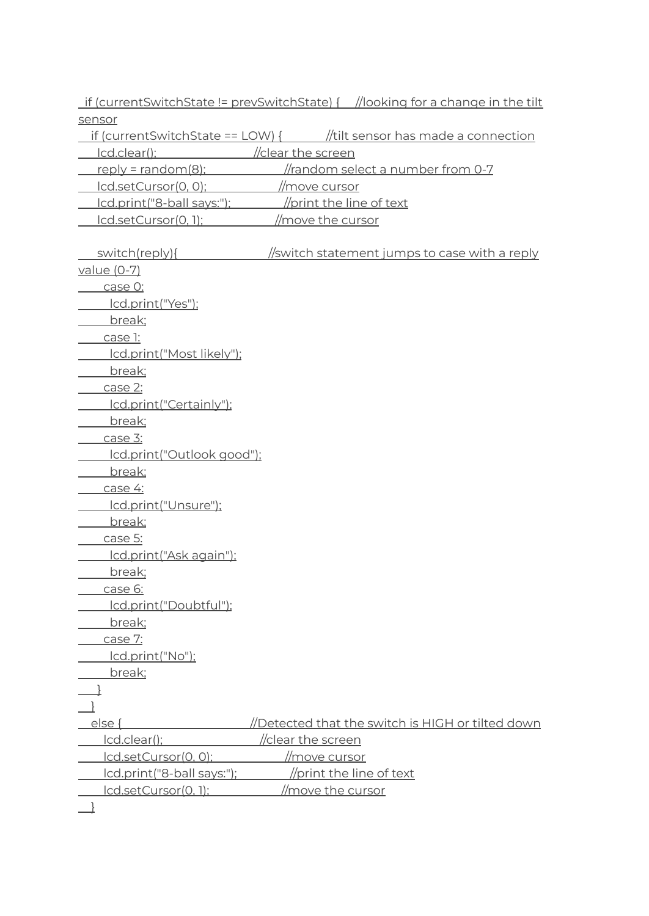if (currentSwitchState != prevSwitchState) { //looking for a change in the tilt sensor

if (currentSwitchState == LOW) { //tilt sensor has made a connection

lcd.clear(); //clear the screen

reply = random(8); //random select a number from 0-7

- lcd.setCursor(0, 0); //move cursor
- lcd.print("8-ball says:"); //print the line of text
- lcd.setCursor(0, 1); //move the cursor

| switch(reply){             | <u>//switch statement jumps to case with a reply</u> |
|----------------------------|------------------------------------------------------|
| value (0-7)                |                                                      |
| case O:                    |                                                      |
| lcd.print("Yes");          |                                                      |
| break;                     |                                                      |
| case 1:                    |                                                      |
| Icd.print("Most likely");  |                                                      |
| break;                     |                                                      |
| case 2:                    |                                                      |
| lcd.print("Certainly");    |                                                      |
| break;                     |                                                      |
| case 3:                    |                                                      |
| lcd.print("Outlook good"); |                                                      |
| break;                     |                                                      |
| case 4:                    |                                                      |
| lcd.print("Unsure");       |                                                      |
| break;                     |                                                      |
| case 5:                    |                                                      |
| Icd.print("Ask again");    |                                                      |
| break;                     |                                                      |
| case 6:                    |                                                      |
| lcd.print("Doubtful");     |                                                      |
| break;                     |                                                      |
| case 7:                    |                                                      |
| lcd.print("No");           |                                                      |
| break;                     |                                                      |
|                            |                                                      |
|                            |                                                      |
| else {                     | Detected that the switch is HIGH or tilted down      |
| Icd.clear();               | /clear the screen                                    |
| Icd.setCursor(0, 0);       | <u>//move cursor</u>                                 |
| lcd.print("8-ball says:"); | //print the line of text                             |
| lcd.setCursor(0, 1);       | //move the cursor                                    |
|                            |                                                      |